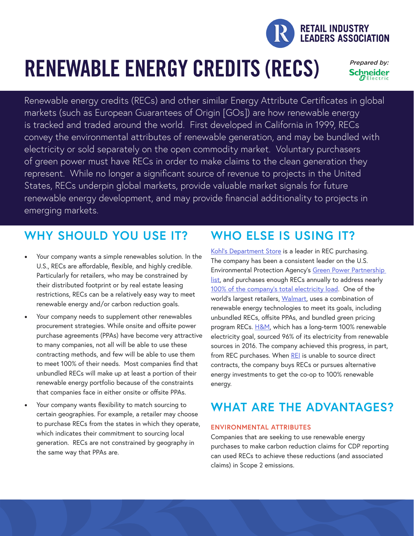

# RENEWABLE ENERGY CREDITS (RECS)

Prepared by: **Schneider** 

Renewable energy credits (RECs) and other similar Energy Attribute Certificates in global markets (such as European Guarantees of Origin [GOs]) are how renewable energy is tracked and traded around the world. First developed in California in 1999, RECs convey the environmental attributes of renewable generation, and may be bundled with electricity or sold separately on the open commodity market. Voluntary purchasers of green power must have RECs in order to make claims to the clean generation they represent. While no longer a significant source of revenue to projects in the United States, RECs underpin global markets, provide valuable market signals for future renewable energy development, and may provide financial additionality to projects in emerging markets.

## **WHY SHOULD YOU USE IT?**

- Your company wants a simple renewables solution. In the U.S., RECs are affordable, flexible, and highly credible. Particularly for retailers, who may be constrained by their distributed footprint or by real estate leasing restrictions, RECs can be a relatively easy way to meet renewable energy and/or carbon reduction goals.
- Your company needs to supplement other renewables procurement strategies. While onsite and offsite power purchase agreements (PPAs) have become very attractive to many companies, not all will be able to use these contracting methods, and few will be able to use them to meet 100% of their needs. Most companies find that unbundled RECs will make up at least a portion of their renewable energy portfolio because of the constraints that companies face in either onsite or offsite PPAs.
- Your company wants flexibility to match sourcing to certain geographies. For example, a retailer may choose to purchase RECs from the states in which they operate, which indicates their commitment to sourcing local generation. RECs are not constrained by geography in the same way that PPAs are.

### **WHO ELSE IS USING IT?**

[Kohl's Department Store](https://corporate.kohls.com/corporate-responsibility/sustainability) is a leader in REC purchasing. The company has been a consistent leader on the U.S. Environmental Protection Agency's [Green Power Partnership](https://www.epa.gov/greenpower/green-power-partnership-national-top-100#KohlsDepartmentStores)  [list](https://www.epa.gov/greenpower/green-power-partnership-national-top-100#KohlsDepartmentStores), and purchases enough RECs annually to address nearly [100% of the company's total electricity load](http://corporate.kohls.com/content/dam/kohlscorp/non-press-release-pdfs/2017/Kohls-2016-CSR-Report.pdf). One of the world's largest retailers, [Walmart](https://cdn.corporate.walmart.com/eb/80/4c32210b44ccbae634ddedd18a27/walmarts-approach-to-renewable-energy.pdf), uses a combination of renewable energy technologies to meet its goals, including unbundled RECs, offsite PPAs, and bundled green pricing program RECs. [H&M,](http://sustainability.hm.com/content/dam/hm/about/documents/en/CSR/2016 Sustainability report/HM_group_SustainabilityReport_2016_FullReport_en.pdf) which has a long-term 100% renewable electricity goal, sourced 96% of its electricity from renewable sources in 2016. The company achieved this progress, in part, from REC purchases. When [REI](https://www.rei.com/stewardship/sustainable-operations/energy-use.html) is unable to source direct contracts, the company buys RECs or pursues alternative energy investments to get the co-op to 100% renewable energy.

## **W WHAT ARE THE ADVANTAGES?**

#### **ENVIRONMENTAL ATTRIBUTES**

Companies that are seeking to use renewable energy purchases to make carbon reduction claims for CDP reporting can used RECs to achieve these reductions (and associated claims) in Scope 2 emissions.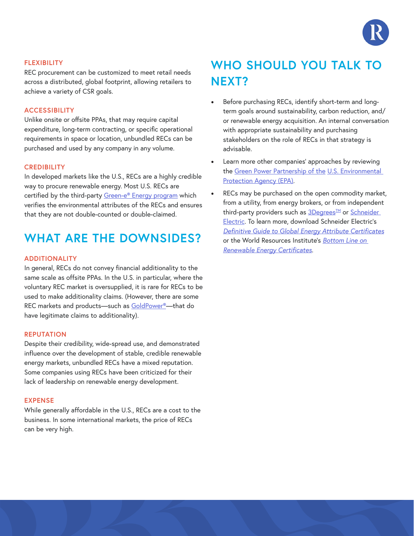

#### **FLEXIBILITY**

REC procurement can be customized to meet retail needs across a distributed, global footprint, allowing retailers to achieve a variety of CSR goals.

#### **ACCESSIBILITY**

Unlike onsite or offsite PPAs, that may require capital expenditure, long-term contracting, or specific operational requirements in space or location, unbundled RECs can be purchased and used by any company in any volume.

#### **CREDIBILITY**

In developed markets like the U.S., RECs are a highly credible way to procure renewable energy. Most U.S. RECs are certified by the third-party [Green-e® Energy program](https://www.green-e.org/programs/energy) which verifies the environmental attributes of the RECs and ensures that they are not double-counted or double-claimed.

### **WHAT ARE THE DOWNSIDES?**

#### **ADDITIONALITY**

In general, RECs do not convey financial additionality to the same scale as offsite PPAs. In the U.S. in particular, where the voluntary REC market is oversupplied, it is rare for RECs to be used to make additionality claims. (However, there are some REC markets and products—such as [GoldPower®—](http://goldpower.net/)that do have legitimate claims to additionality).

#### **REPUTATION**

Despite their credibility, wide-spread use, and demonstrated influence over the development of stable, credible renewable energy markets, unbundled RECs have a mixed reputation. Some companies using RECs have been criticized for their lack of leadership on renewable energy development.

#### **EXPENSE**

While generally affordable in the U.S., RECs are a cost to the business. In some international markets, the price of RECs can be very high.

## **WHO SHOULD YOU TALK TO NEXT?**

- Before purchasing RECs, identify short-term and longterm goals around sustainability, carbon reduction, and/ or renewable energy acquisition. An internal conversation with appropriate sustainability and purchasing stakeholders on the role of RECs in that strategy is advisable.
- Learn more other companies' approaches by reviewing the [Green Power Partnership of the](https://www.epa.gov/greenpower) U.S. Environmental [Protection Agency \(EPA\).](https://www.epa.gov/greenpower)
- RECs may be purchased on the open commodity market, from a utility, from energy brokers, or from independent third-party providers such as 3Degrees<sup>TM</sup> or Schneider [Electric.](http://www.schneider-electric.com/ww/en/) To learn more, download Schneider Electric's *[Definitive Guide to Global Energy Attribute Certificates](http://www.renewablechoice.com/landing-page-definitive-guide-to-eacs/)* or the World Resources Institute's *[Bottom Line on](http://www.wri.org/sites/default/files/pdf/bottom_line_renewable_energy_certs.pdf) [Renewable Energy Certificates](http://www.wri.org/sites/default/files/pdf/bottom_line_renewable_energy_certs.pdf)*.